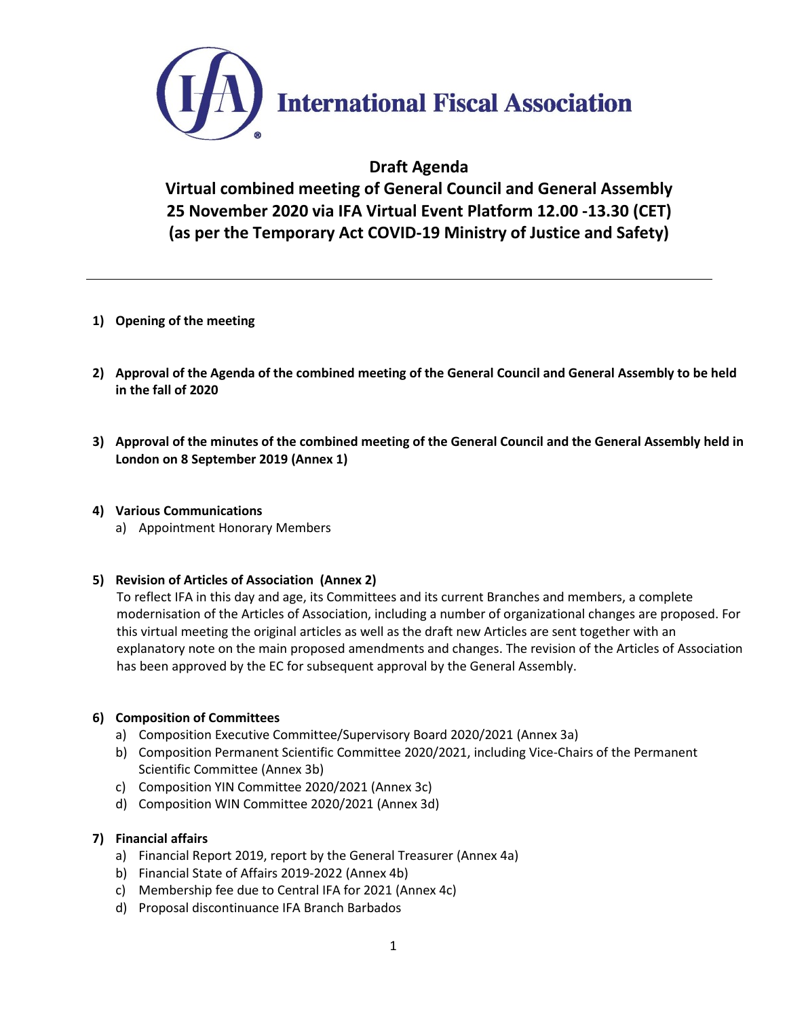

# **Draft Agenda**

**Virtual combined meeting of General Council and General Assembly 25 November 2020 via IFA Virtual Event Platform 12.00 -13.30 (CET) (as per the Temporary Act COVID-19 Ministry of Justice and Safety)**

- **1) Opening of the meeting**
- **2) Approval of the Agenda of the combined meeting of the General Council and General Assembly to be held in the fall of 2020**
- **3) Approval of the minutes of the combined meeting of the General Council and the General Assembly held in London on 8 September 2019 (Annex 1)**

## **4) Various Communications**

a) Appointment Honorary Members

## **5) Revision of Articles of Association (Annex 2)**

To reflect IFA in this day and age, its Committees and its current Branches and members, a complete modernisation of the Articles of Association, including a number of organizational changes are proposed. For this virtual meeting the original articles as well as the draft new Articles are sent together with an explanatory note on the main proposed amendments and changes. The revision of the Articles of Association has been approved by the EC for subsequent approval by the General Assembly.

## **6) Composition of Committees**

- a) Composition Executive Committee/Supervisory Board 2020/2021 (Annex 3a)
- b) Composition Permanent Scientific Committee 2020/2021, including Vice-Chairs of the Permanent Scientific Committee (Annex 3b)
- c) Composition YIN Committee 2020/2021 (Annex 3c)
- d) Composition WIN Committee 2020/2021 (Annex 3d)

## **7) Financial affairs**

- a) Financial Report 2019, report by the General Treasurer (Annex 4a)
- b) Financial State of Affairs 2019-2022 (Annex 4b)
- c) Membership fee due to Central IFA for 2021 (Annex 4c)
- d) Proposal discontinuance IFA Branch Barbados